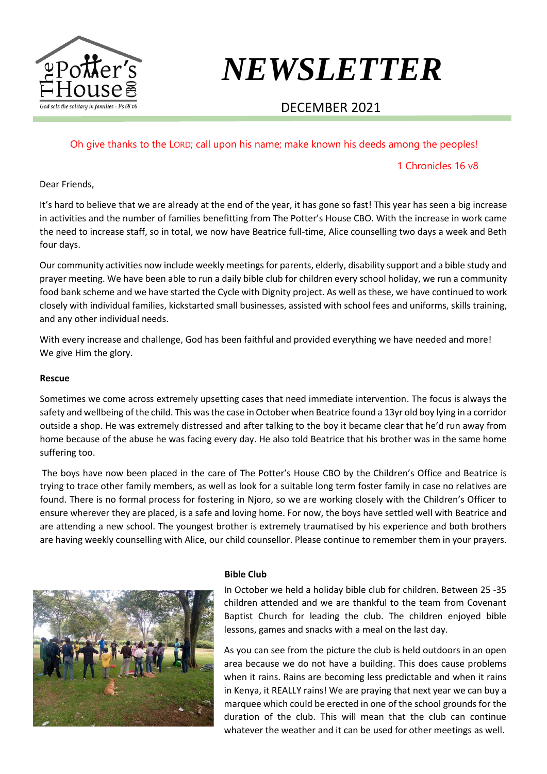

# *NEWSLETTER*

## DECEMBER 2021

Oh give thanks to the LORD; call upon his name; make known his deeds among the peoples!

#### 1 Chronicles 16 v8

#### Dear Friends,

It's hard to believe that we are already at the end of the year, it has gone so fast! This year has seen a big increase in activities and the number of families benefitting from The Potter's House CBO. With the increase in work came the need to increase staff, so in total, we now have Beatrice full-time, Alice counselling two days a week and Beth four days.

Our community activities now include weekly meetings for parents, elderly, disability support and a bible study and prayer meeting. We have been able to run a daily bible club for children every school holiday, we run a community food bank scheme and we have started the Cycle with Dignity project. As well as these, we have continued to work closely with individual families, kickstarted small businesses, assisted with school fees and uniforms, skills training, and any other individual needs.

With every increase and challenge, God has been faithful and provided everything we have needed and more! We give Him the glory.

#### **Rescue**

Sometimes we come across extremely upsetting cases that need immediate intervention. The focus is always the safety and wellbeing of the child. This was the case in October when Beatrice found a 13yr old boy lying in a corridor outside a shop. He was extremely distressed and after talking to the boy it became clear that he'd run away from home because of the abuse he was facing every day. He also told Beatrice that his brother was in the same home suffering too.

The boys have now been placed in the care of The Potter's House CBO by the Children's Office and Beatrice is trying to trace other family members, as well as look for a suitable long term foster family in case no relatives are found. There is no formal process for fostering in Njoro, so we are working closely with the Children's Officer to ensure wherever they are placed, is a safe and loving home. For now, the boys have settled well with Beatrice and are attending a new school. The youngest brother is extremely traumatised by his experience and both brothers are having weekly counselling with Alice, our child counsellor. Please continue to remember them in your prayers.



#### **Bible Club**

In October we held a holiday bible club for children. Between 25 -35 children attended and we are thankful to the team from Covenant Baptist Church for leading the club. The children enjoyed bible lessons, games and snacks with a meal on the last day.

As you can see from the picture the club is held outdoors in an open area because we do not have a building. This does cause problems when it rains. Rains are becoming less predictable and when it rains in Kenya, it REALLY rains! We are praying that next year we can buy a marquee which could be erected in one of the school grounds for the duration of the club. This will mean that the club can continue whatever the weather and it can be used for other meetings as well.